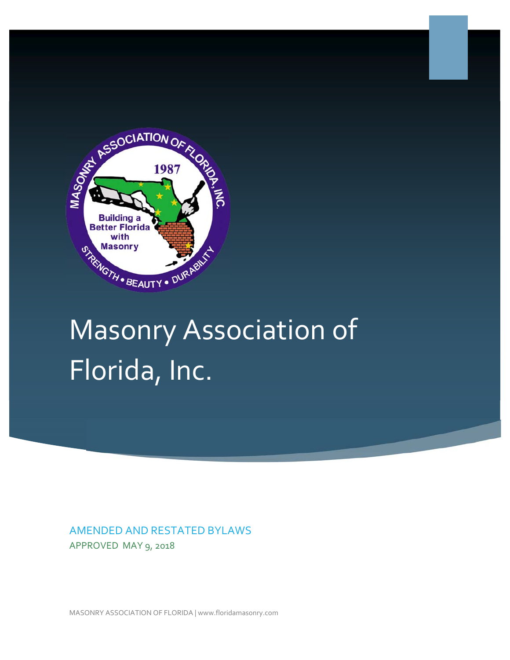

# Masonry Association of Florida, Inc.

AMENDED AND RESTATED BYLAWS APPROVED MAY 9, 2018

MASONRY ASSOCIATION OF FLORIDA | www.floridamasonry.com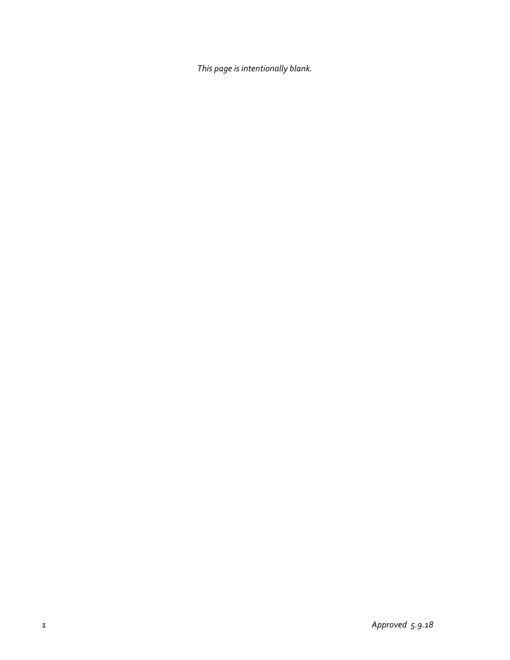*This page is intentionally blank.*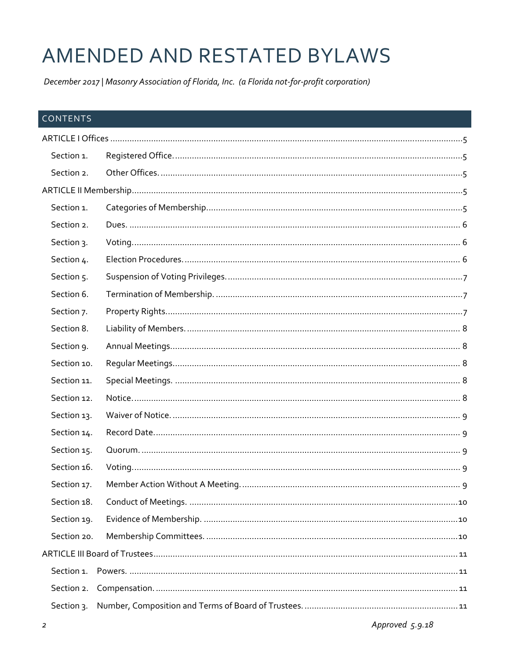# AMENDED AND RESTATED BYLAWS

December 2017 | Masonry Association of Florida, Inc. (a Florida not-for-profit corporation)

| <b>CONTENTS</b> |  |
|-----------------|--|
|                 |  |
| Section 1.      |  |
| Section 2.      |  |
|                 |  |
| Section 1.      |  |
| Section 2.      |  |
| Section 3.      |  |
| Section 4.      |  |
| Section 5.      |  |
| Section 6.      |  |
| Section 7.      |  |
| Section 8.      |  |
| Section 9.      |  |
| Section 10.     |  |
| Section 11.     |  |
| Section 12.     |  |
| Section 13.     |  |
| Section 14.     |  |
| Section 15.     |  |
| Section 16.     |  |
| Section 17.     |  |
| Section 18.     |  |
| Section 19.     |  |
| Section 20.     |  |
|                 |  |
| Section 1.      |  |
| Section 2.      |  |
| Section 3.      |  |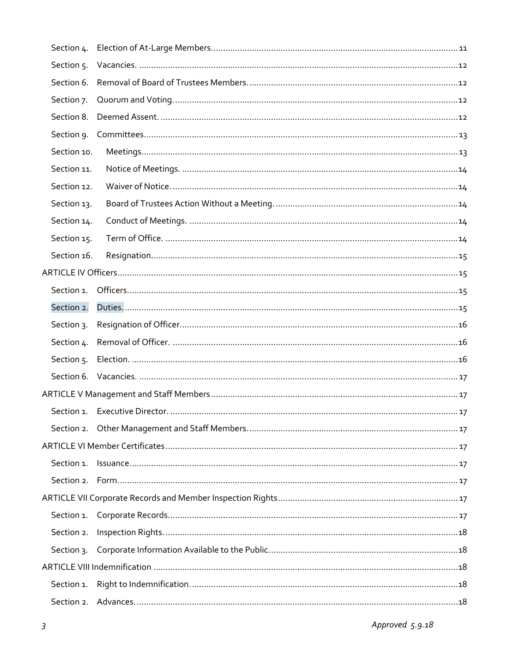| Section 6.  |  |  |  |  |
|-------------|--|--|--|--|
| Section 7.  |  |  |  |  |
| Section 8.  |  |  |  |  |
| Section 9.  |  |  |  |  |
| Section 10. |  |  |  |  |
| Section 11. |  |  |  |  |
| Section 12. |  |  |  |  |
| Section 13. |  |  |  |  |
| Section 14. |  |  |  |  |
| Section 15. |  |  |  |  |
| Section 16. |  |  |  |  |
|             |  |  |  |  |
| Section 1.  |  |  |  |  |
| Section 2.  |  |  |  |  |
| Section 3.  |  |  |  |  |
| Section 4.  |  |  |  |  |
| Section 5.  |  |  |  |  |
|             |  |  |  |  |
|             |  |  |  |  |
|             |  |  |  |  |
|             |  |  |  |  |
|             |  |  |  |  |
| Section 1.  |  |  |  |  |
|             |  |  |  |  |
|             |  |  |  |  |
| Section 1.  |  |  |  |  |
| Section 2.  |  |  |  |  |
| Section 3.  |  |  |  |  |
|             |  |  |  |  |
| Section 1.  |  |  |  |  |
|             |  |  |  |  |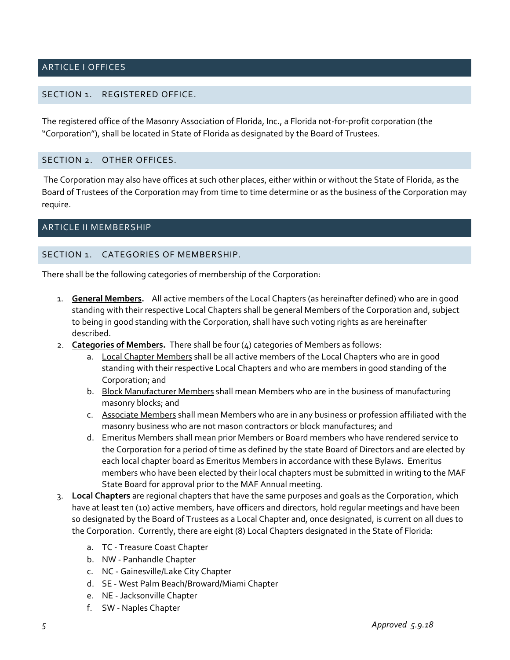# ARTICLE I OFFICES

## SECTION 1. REGISTERED OFFICE.

The registered office of the Masonry Association of Florida, Inc., a Florida not‐for‐profit corporation (the "Corporation"), shall be located in State of Florida as designated by the Board of Trustees.

#### SECTION 2. OTHER OFFICES.

The Corporation may also have offices at such other places, either within or without the State of Florida, as the Board of Trustees of the Corporation may from time to time determine or as the business of the Corporation may require.

ARTICLE II MEMBERSHIP

#### SECTION 1. CATEGORIES OF MEMBERSHIP.

There shall be the following categories of membership of the Corporation:

- 1. **General Members.** All active members of the Local Chapters (as hereinafter defined) who are in good standing with their respective Local Chapters shall be general Members of the Corporation and, subject to being in good standing with the Corporation, shall have such voting rights as are hereinafter described.
- 2. **Categories of Members.** There shall be four (4) categories of Members as follows:
	- a. Local Chapter Members shall be all active members of the Local Chapters who are in good standing with their respective Local Chapters and who are members in good standing of the Corporation; and
	- b. Block Manufacturer Members shall mean Members who are in the business of manufacturing masonry blocks; and
	- c. Associate Members shall mean Members who are in any business or profession affiliated with the masonry business who are not mason contractors or block manufactures; and
	- d. Emeritus Members shall mean prior Members or Board members who have rendered service to the Corporation for a period of time as defined by the state Board of Directors and are elected by each local chapter board as Emeritus Members in accordance with these Bylaws. Emeritus members who have been elected by their local chapters must be submitted in writing to the MAF State Board for approval prior to the MAF Annual meeting.
- 3. **Local Chapters** are regional chapters that have the same purposes and goals as the Corporation, which have at least ten (10) active members, have officers and directors, hold regular meetings and have been so designated by the Board of Trustees as a Local Chapter and, once designated, is current on all dues to the Corporation. Currently, there are eight (8) Local Chapters designated in the State of Florida:
	- a. TC ‐ Treasure Coast Chapter
	- b. NW ‐ Panhandle Chapter
	- c. NC ‐ Gainesville/Lake City Chapter
	- d. SE ‐ West Palm Beach/Broward/Miami Chapter
	- e. NE ‐ Jacksonville Chapter
	- f. SW ‐ Naples Chapter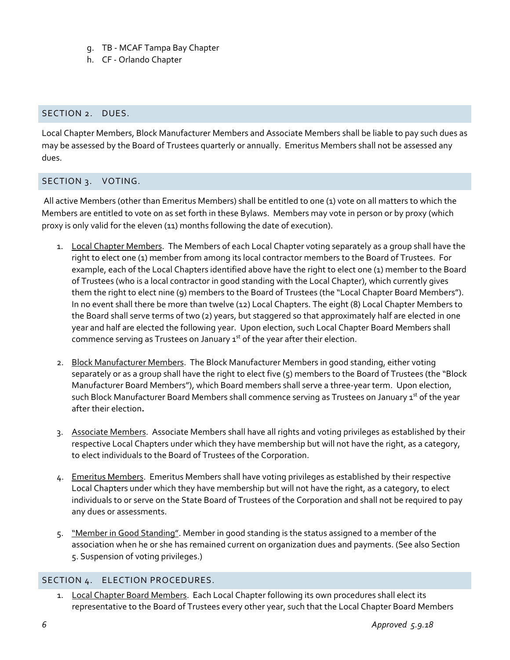- g. TB ‐ MCAF Tampa Bay Chapter
- h. CF ‐ Orlando Chapter

#### SECTION 2. DUES.

Local Chapter Members, Block Manufacturer Members and Associate Members shall be liable to pay such dues as may be assessed by the Board of Trustees quarterly or annually. Emeritus Members shall not be assessed any dues.

# SECTION 3. VOTING.

All active Members (other than Emeritus Members) shall be entitled to one (1) vote on all matters to which the Members are entitled to vote on as set forth in these Bylaws. Members may vote in person or by proxy (which proxy is only valid for the eleven (11) months following the date of execution).

- 1. Local Chapter Members. The Members of each Local Chapter voting separately as a group shall have the right to elect one (1) member from among its local contractor members to the Board of Trustees. For example, each of the Local Chapters identified above have the right to elect one (1) member to the Board of Trustees (who is a local contractor in good standing with the Local Chapter), which currently gives them the right to elect nine (9) members to the Board of Trustees (the "Local Chapter Board Members"). In no event shall there be more than twelve (12) Local Chapters. The eight (8) Local Chapter Members to the Board shall serve terms of two (2) years, but staggered so that approximately half are elected in one year and half are elected the following year. Upon election, such Local Chapter Board Members shall commence serving as Trustees on January  $1<sup>st</sup>$  of the year after their election.
- 2. Block Manufacturer Members. The Block Manufacturer Members in good standing, either voting separately or as a group shall have the right to elect five (5) members to the Board of Trustees (the "Block Manufacturer Board Members"), which Board members shall serve a three‐year term. Upon election, such Block Manufacturer Board Members shall commence serving as Trustees on January 1<sup>st</sup> of the year after their election**.**
- 3. Associate Members. Associate Members shall have all rights and voting privileges as established by their respective Local Chapters under which they have membership but will not have the right, as a category, to elect individuals to the Board of Trustees of the Corporation.
- 4. Emeritus Members. Emeritus Members shall have voting privileges as established by their respective Local Chapters under which they have membership but will not have the right, as a category, to elect individuals to or serve on the State Board of Trustees of the Corporation and shall not be required to pay any dues or assessments.
- 5. "Member in Good Standing". Member in good standing is the status assigned to a member of the association when he or she has remained current on organization dues and payments. (See also Section 5. Suspension of voting privileges.)

## SECTION 4. ELECTION PROCEDURES.

1. Local Chapter Board Members. Each Local Chapter following its own procedures shall elect its representative to the Board of Trustees every other year, such that the Local Chapter Board Members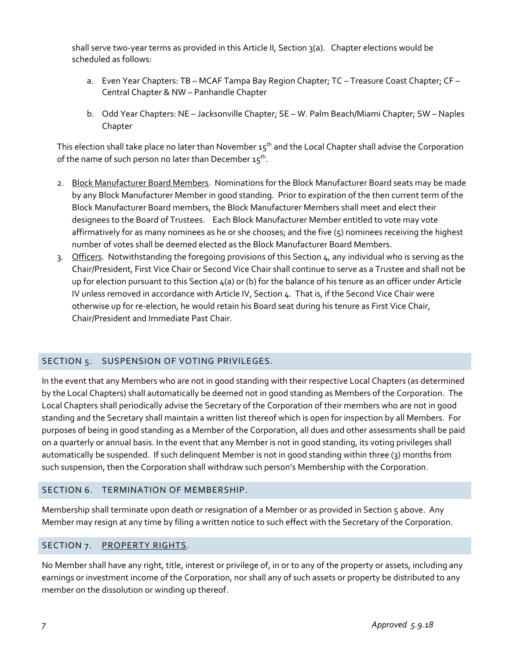shall serve two‐year terms as provided in this Article II, Section 3(a). Chapter elections would be scheduled as follows:

- a. Even Year Chapters: TB MCAF Tampa Bay Region Chapter; TC Treasure Coast Chapter; CF Central Chapter & NW – Panhandle Chapter
- b. Odd Year Chapters: NE Jacksonville Chapter; SE W. Palm Beach/Miami Chapter; SW Naples Chapter

This election shall take place no later than November  $15<sup>th</sup>$  and the Local Chapter shall advise the Corporation of the name of such person no later than December  $15^{th}$ .

- 2. Block Manufacturer Board Members. Nominations for the Block Manufacturer Board seats may be made by any Block Manufacturer Member in good standing. Prior to expiration of the then current term of the Block Manufacturer Board members, the Block Manufacturer Members shall meet and elect their designees to the Board of Trustees. Each Block Manufacturer Member entitled to vote may vote affirmatively for as many nominees as he or she chooses; and the five (5) nominees receiving the highest number of votes shall be deemed elected as the Block Manufacturer Board Members.
- 3. Officers. Notwithstanding the foregoing provisions of this Section 4, any individual who is serving as the Chair/President, First Vice Chair or Second Vice Chair shall continue to serve as a Trustee and shall not be up for election pursuant to this Section  $\mu(a)$  or (b) for the balance of his tenure as an officer under Article IV unless removed in accordance with Article IV, Section 4. That is, if the Second Vice Chair were otherwise up for re‐election, he would retain his Board seat during his tenure as First Vice Chair, Chair/President and Immediate Past Chair.

# SECTION 5. SUSPENSION OF VOTING PRIVILEGES.

In the event that any Members who are not in good standing with their respective Local Chapters (as determined by the Local Chapters) shall automatically be deemed not in good standing as Members of the Corporation. The Local Chapters shall periodically advise the Secretary of the Corporation of their members who are not in good standing and the Secretary shall maintain a written list thereof which is open for inspection by all Members. For purposes of being in good standing as a Member of the Corporation, all dues and other assessments shall be paid on a quarterly or annual basis. In the event that any Member is not in good standing, its voting privileges shall automatically be suspended. If such delinquent Member is not in good standing within three (3) months from such suspension, then the Corporation shall withdraw such person's Membership with the Corporation.

## SECTION 6. TERMINATION OF MEMBERSHIP.

Membership shall terminate upon death or resignation of a Member or as provided in Section 5 above. Any Member may resign at any time by filing a written notice to such effect with the Secretary of the Corporation.

# SECTION 7. PROPERTY RIGHTS.

No Member shall have any right, title, interest or privilege of, in or to any of the property or assets, including any earnings or investment income of the Corporation, nor shall any of such assets or property be distributed to any member on the dissolution or winding up thereof.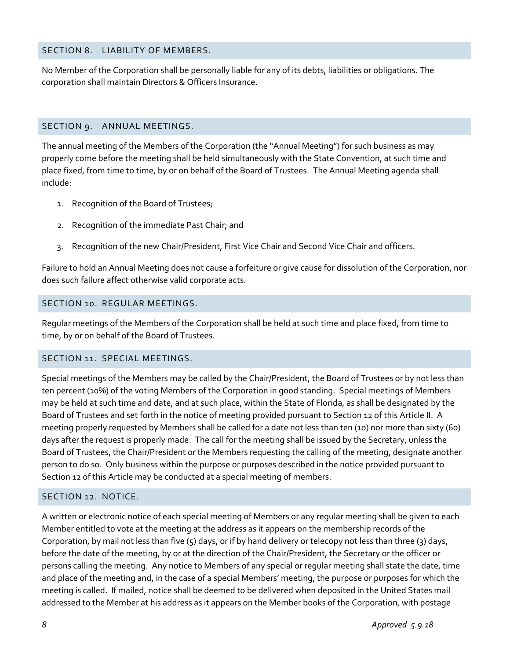#### SECTION 8. LIABILITY OF MEMBERS.

No Member of the Corporation shall be personally liable for any of its debts, liabilities or obligations. The corporation shall maintain Directors & Officers Insurance.

# SECTION 9. ANNUAL MEETINGS.

The annual meeting of the Members of the Corporation (the "Annual Meeting") for such business as may properly come before the meeting shall be held simultaneously with the State Convention, at such time and place fixed, from time to time, by or on behalf of the Board of Trustees. The Annual Meeting agenda shall include:

- 1. Recognition of the Board of Trustees;
- 2. Recognition of the immediate Past Chair; and
- 3. Recognition of the new Chair/President, First Vice Chair and Second Vice Chair and officers.

Failure to hold an Annual Meeting does not cause a forfeiture or give cause for dissolution of the Corporation, nor does such failure affect otherwise valid corporate acts.

## SECTION 10. REGULAR MEETINGS.

Regular meetings of the Members of the Corporation shall be held at such time and place fixed, from time to time, by or on behalf of the Board of Trustees.

# SECTION 11. SPECIAL MEETINGS.

Special meetings of the Members may be called by the Chair/President, the Board of Trustees or by not less than ten percent (10%) of the voting Members of the Corporation in good standing. Special meetings of Members may be held at such time and date, and at such place, within the State of Florida, as shall be designated by the Board of Trustees and set forth in the notice of meeting provided pursuant to Section 12 of this Article II. A meeting properly requested by Members shall be called for a date not less than ten (10) nor more than sixty (60) days after the request is properly made. The call for the meeting shall be issued by the Secretary, unless the Board of Trustees, the Chair/President or the Members requesting the calling of the meeting, designate another person to do so. Only business within the purpose or purposes described in the notice provided pursuant to Section 12 of this Article may be conducted at a special meeting of members.

## SECTION 12. NOTICE.

A written or electronic notice of each special meeting of Members or any regular meeting shall be given to each Member entitled to vote at the meeting at the address as it appears on the membership records of the Corporation, by mail not less than five (5) days, or if by hand delivery or telecopy not less than three (3) days, before the date of the meeting, by or at the direction of the Chair/President, the Secretary or the officer or persons calling the meeting. Any notice to Members of any special or regular meeting shall state the date, time and place of the meeting and, in the case of a special Members' meeting, the purpose or purposes for which the meeting is called. If mailed, notice shall be deemed to be delivered when deposited in the United States mail addressed to the Member at his address as it appears on the Member books of the Corporation, with postage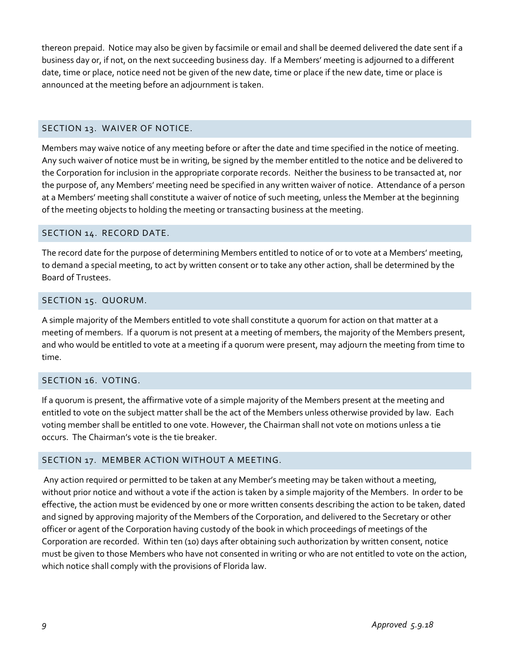thereon prepaid. Notice may also be given by facsimile or email and shall be deemed delivered the date sent if a business day or, if not, on the next succeeding business day. If a Members' meeting is adjourned to a different date, time or place, notice need not be given of the new date, time or place if the new date, time or place is announced at the meeting before an adjournment is taken.

## SECTION 13. WAIVER OF NOTICE.

Members may waive notice of any meeting before or after the date and time specified in the notice of meeting. Any such waiver of notice must be in writing, be signed by the member entitled to the notice and be delivered to the Corporation for inclusion in the appropriate corporate records. Neither the business to be transacted at, nor the purpose of, any Members' meeting need be specified in any written waiver of notice. Attendance of a person at a Members' meeting shall constitute a waiver of notice of such meeting, unless the Member at the beginning of the meeting objects to holding the meeting or transacting business at the meeting.

#### SECTION 14. RECORD DATE.

The record date for the purpose of determining Members entitled to notice of or to vote at a Members' meeting, to demand a special meeting, to act by written consent or to take any other action, shall be determined by the Board of Trustees.

#### SECTION 15. QUORUM.

A simple majority of the Members entitled to vote shall constitute a quorum for action on that matter at a meeting of members. If a quorum is not present at a meeting of members, the majority of the Members present, and who would be entitled to vote at a meeting if a quorum were present, may adjourn the meeting from time to time.

## SECTION 16. VOTING.

If a quorum is present, the affirmative vote of a simple majority of the Members present at the meeting and entitled to vote on the subject matter shall be the act of the Members unless otherwise provided by law. Each voting member shall be entitled to one vote. However, the Chairman shall not vote on motions unless a tie occurs. The Chairman's vote is the tie breaker.

#### SECTION 17. MEMBER ACTION WITHOUT A MEETING.

Any action required or permitted to be taken at any Member's meeting may be taken without a meeting, without prior notice and without a vote if the action is taken by a simple majority of the Members. In order to be effective, the action must be evidenced by one or more written consents describing the action to be taken, dated and signed by approving majority of the Members of the Corporation, and delivered to the Secretary or other officer or agent of the Corporation having custody of the book in which proceedings of meetings of the Corporation are recorded. Within ten (10) days after obtaining such authorization by written consent, notice must be given to those Members who have not consented in writing or who are not entitled to vote on the action, which notice shall comply with the provisions of Florida law.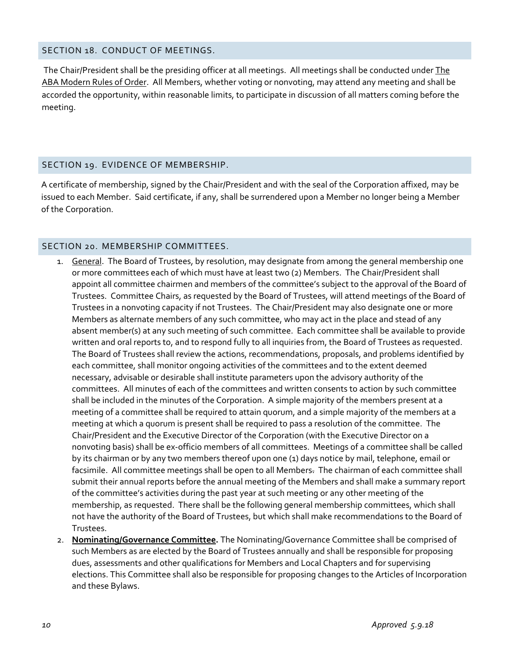#### SECTION 18. CONDUCT OF MEETINGS.

The Chair/President shall be the presiding officer at all meetings. All meetings shall be conducted under The ABA Modern Rules of Order. All Members, whether voting or nonvoting, may attend any meeting and shall be accorded the opportunity, within reasonable limits, to participate in discussion of all matters coming before the meeting.

# SECTION 19. EVIDENCE OF MEMBERSHIP.

A certificate of membership, signed by the Chair/President and with the seal of the Corporation affixed, may be issued to each Member. Said certificate, if any, shall be surrendered upon a Member no longer being a Member of the Corporation.

## SECTION 20. MEMBERSHIP COMMITTEES.

- 1. General. The Board of Trustees, by resolution, may designate from among the general membership one or more committees each of which must have at least two (2) Members. The Chair/President shall appoint all committee chairmen and members of the committee's subject to the approval of the Board of Trustees. Committee Chairs, as requested by the Board of Trustees, will attend meetings of the Board of Trustees in a nonvoting capacity if not Trustees. The Chair/President may also designate one or more Members as alternate members of any such committee, who may act in the place and stead of any absent member(s) at any such meeting of such committee. Each committee shall be available to provide written and oral reports to, and to respond fully to all inquiries from, the Board of Trustees as requested. The Board of Trustees shall review the actions, recommendations, proposals, and problems identified by each committee, shall monitor ongoing activities of the committees and to the extent deemed necessary, advisable or desirable shall institute parameters upon the advisory authority of the committees. All minutes of each of the committees and written consents to action by such committee shall be included in the minutes of the Corporation. A simple majority of the members present at a meeting of a committee shall be required to attain quorum, and a simple majority of the members at a meeting at which a quorum is present shall be required to pass a resolution of the committee. The Chair/President and the Executive Director of the Corporation (with the Executive Director on a nonvoting basis) shall be ex‐officio members of all committees. Meetings of a committee shall be called by its chairman or by any two members thereof upon one (1) days notice by mail, telephone, email or facsimile. All committee meetings shall be open to all Members. The chairman of each committee shall submit their annual reports before the annual meeting of the Members and shall make a summary report of the committee's activities during the past year at such meeting or any other meeting of the membership, as requested. There shall be the following general membership committees, which shall not have the authority of the Board of Trustees, but which shall make recommendations to the Board of Trustees.
- 2. **Nominating/Governance Committee.** The Nominating/Governance Committee shall be comprised of such Members as are elected by the Board of Trustees annually and shall be responsible for proposing dues, assessments and other qualifications for Members and Local Chapters and for supervising elections. This Committee shall also be responsible for proposing changes to the Articles of Incorporation and these Bylaws.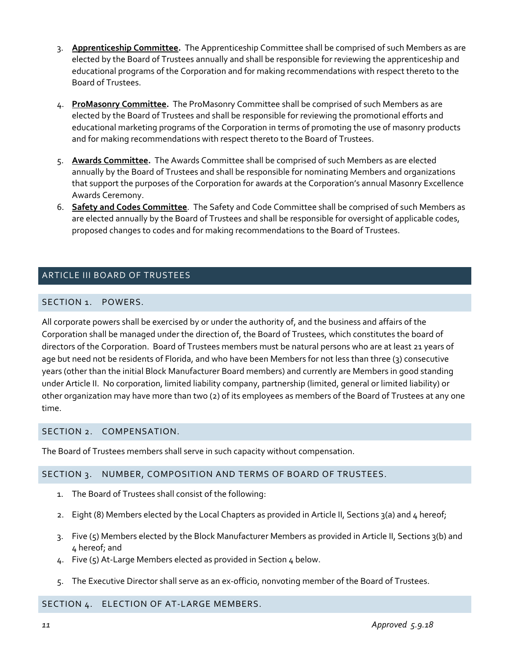- 3. **Apprenticeship Committee.** The Apprenticeship Committee shall be comprised of such Members as are elected by the Board of Trustees annually and shall be responsible for reviewing the apprenticeship and educational programs of the Corporation and for making recommendations with respect thereto to the Board of Trustees.
- 4. **ProMasonry Committee.** The ProMasonry Committee shall be comprised of such Members as are elected by the Board of Trustees and shall be responsible for reviewing the promotional efforts and educational marketing programs of the Corporation in terms of promoting the use of masonry products and for making recommendations with respect thereto to the Board of Trustees.
- 5. **Awards Committee.** The Awards Committee shall be comprised of such Members as are elected annually by the Board of Trustees and shall be responsible for nominating Members and organizations that support the purposes of the Corporation for awards at the Corporation's annual Masonry Excellence Awards Ceremony.
- 6. **Safety and Codes Committee**. The Safety and Code Committee shall be comprised of such Members as are elected annually by the Board of Trustees and shall be responsible for oversight of applicable codes, proposed changes to codes and for making recommendations to the Board of Trustees.

# ARTICLE III BOARD OF TRUSTEES

# SECTION 1 POWERS

All corporate powers shall be exercised by or under the authority of, and the business and affairs of the Corporation shall be managed under the direction of, the Board of Trustees, which constitutes the board of directors of the Corporation. Board of Trustees members must be natural persons who are at least 21 years of age but need not be residents of Florida, and who have been Members for not less than three (3) consecutive years (other than the initial Block Manufacturer Board members) and currently are Members in good standing under Article II. No corporation, limited liability company, partnership (limited, general or limited liability) or other organization may have more than two (2) of its employees as members of the Board of Trustees at any one time.

## SECTION 2. COMPENSATION.

The Board of Trustees members shall serve in such capacity without compensation.

#### SECTION 3. NUMBER, COMPOSITION AND TERMS OF BOARD OF TRUSTEES.

- 1. The Board of Trustees shall consist of the following:
- 2. Eight (8) Members elected by the Local Chapters as provided in Article II, Sections 3(a) and  $4$  hereof;
- 3. Five (5) Members elected by the Block Manufacturer Members as provided in Article II, Sections 3(b) and 4 hereof; and
- 4. Five (5) At‐Large Members elected as provided in Section 4 below.
- 5. The Executive Director shall serve as an ex‐officio, nonvoting member of the Board of Trustees.

# SECTION 4. ELECTION OF AT-LARGE MEMBERS.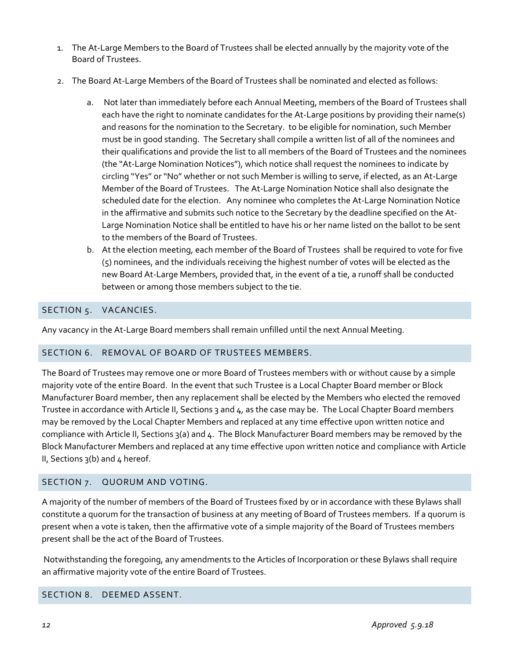- 1. The At-Large Members to the Board of Trustees shall be elected annually by the majority vote of the Board of Trustees.
- 2. The Board At‐Large Members of the Board of Trustees shall be nominated and elected as follows:
	- a. Not later than immediately before each Annual Meeting, members of the Board of Trustees shall each have the right to nominate candidates for the At-Large positions by providing their name(s) and reasons for the nomination to the Secretary. to be eligible for nomination, such Member must be in good standing. The Secretary shall compile a written list of all of the nominees and their qualifications and provide the list to all members of the Board of Trustees and the nominees (the "At‐Large Nomination Notices"), which notice shall request the nominees to indicate by circling "Yes" or "No" whether or not such Member is willing to serve, if elected, as an At‐Large Member of the Board of Trustees. The At‐Large Nomination Notice shall also designate the scheduled date for the election. Any nominee who completes the At-Large Nomination Notice in the affirmative and submits such notice to the Secretary by the deadline specified on the At‐ Large Nomination Notice shall be entitled to have his or her name listed on the ballot to be sent to the members of the Board of Trustees.
	- b. At the election meeting, each member of the Board of Trustees shall be required to vote for five (5) nominees, and the individuals receiving the highest number of votes will be elected as the new Board At-Large Members, provided that, in the event of a tie, a runoff shall be conducted between or among those members subject to the tie.

# SECTION 5. VACANCIES.

Any vacancy in the At‐Large Board members shall remain unfilled until the next Annual Meeting.

## SECTION 6. REMOVAL OF BOARD OF TRUSTEES MEMBERS.

The Board of Trustees may remove one or more Board of Trustees members with or without cause by a simple majority vote of the entire Board. In the event that such Trustee is a Local Chapter Board member or Block Manufacturer Board member, then any replacement shall be elected by the Members who elected the removed Trustee in accordance with Article II, Sections 3 and 4, as the case may be. The Local Chapter Board members may be removed by the Local Chapter Members and replaced at any time effective upon written notice and compliance with Article II, Sections 3(a) and 4. The Block Manufacturer Board members may be removed by the Block Manufacturer Members and replaced at any time effective upon written notice and compliance with Article II, Sections  $3(b)$  and 4 hereof.

## SECTION 7. QUORUM AND VOTING.

A majority of the number of members of the Board of Trustees fixed by or in accordance with these Bylaws shall constitute a quorum for the transaction of business at any meeting of Board of Trustees members. If a quorum is present when a vote is taken, then the affirmative vote of a simple majority of the Board of Trustees members present shall be the act of the Board of Trustees.

Notwithstanding the foregoing, any amendments to the Articles of Incorporation or these Bylaws shall require an affirmative majority vote of the entire Board of Trustees.

#### SECTION 8. DEEMED ASSENT.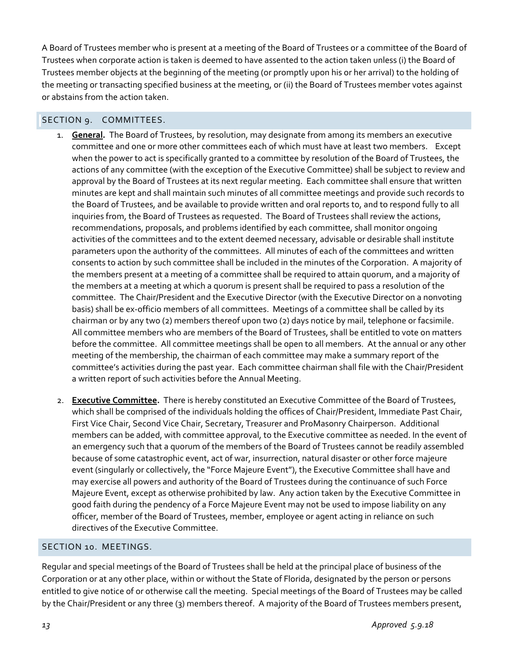A Board of Trustees member who is present at a meeting of the Board of Trustees or a committee of the Board of Trustees when corporate action is taken is deemed to have assented to the action taken unless (i) the Board of Trustees member objects at the beginning of the meeting (or promptly upon his or her arrival) to the holding of the meeting or transacting specified business at the meeting, or (ii) the Board of Trustees member votes against or abstains from the action taken.

# SECTION 9. COMMITTEES.

- 1. **General.** The Board of Trustees, by resolution, may designate from among its members an executive committee and one or more other committees each of which must have at least two members. Except when the power to act is specifically granted to a committee by resolution of the Board of Trustees, the actions of any committee (with the exception of the Executive Committee) shall be subject to review and approval by the Board of Trustees at its next regular meeting. Each committee shall ensure that written minutes are kept and shall maintain such minutes of all committee meetings and provide such records to the Board of Trustees, and be available to provide written and oral reports to, and to respond fully to all inquiries from, the Board of Trustees as requested. The Board of Trustees shall review the actions, recommendations, proposals, and problems identified by each committee, shall monitor ongoing activities of the committees and to the extent deemed necessary, advisable or desirable shall institute parameters upon the authority of the committees. All minutes of each of the committees and written consents to action by such committee shall be included in the minutes of the Corporation. A majority of the members present at a meeting of a committee shall be required to attain quorum, and a majority of the members at a meeting at which a quorum is present shall be required to pass a resolution of the committee. The Chair/President and the Executive Director (with the Executive Director on a nonvoting basis) shall be ex‐officio members of all committees. Meetings of a committee shall be called by its chairman or by any two (2) members thereof upon two (2) days notice by mail, telephone or facsimile. All committee members who are members of the Board of Trustees, shall be entitled to vote on matters before the committee. All committee meetings shall be open to all members. At the annual or any other meeting of the membership, the chairman of each committee may make a summary report of the committee's activities during the past year. Each committee chairman shall file with the Chair/President a written report of such activities before the Annual Meeting.
- 2. **Executive Committee.** There is hereby constituted an Executive Committee of the Board of Trustees, which shall be comprised of the individuals holding the offices of Chair/President, Immediate Past Chair, First Vice Chair, Second Vice Chair, Secretary, Treasurer and ProMasonry Chairperson. Additional members can be added, with committee approval, to the Executive committee as needed. In the event of an emergency such that a quorum of the members of the Board of Trustees cannot be readily assembled because of some catastrophic event, act of war, insurrection, natural disaster or other force majeure event (singularly or collectively, the "Force Majeure Event"), the Executive Committee shall have and may exercise all powers and authority of the Board of Trustees during the continuance of such Force Majeure Event, except as otherwise prohibited by law. Any action taken by the Executive Committee in good faith during the pendency of a Force Majeure Event may not be used to impose liability on any officer, member of the Board of Trustees, member, employee or agent acting in reliance on such directives of the Executive Committee.

# SECTION 10. MEETINGS.

Regular and special meetings of the Board of Trustees shall be held at the principal place of business of the Corporation or at any other place, within or without the State of Florida, designated by the person or persons entitled to give notice of or otherwise call the meeting. Special meetings of the Board of Trustees may be called by the Chair/President or any three (3) members thereof. A majority of the Board of Trustees members present,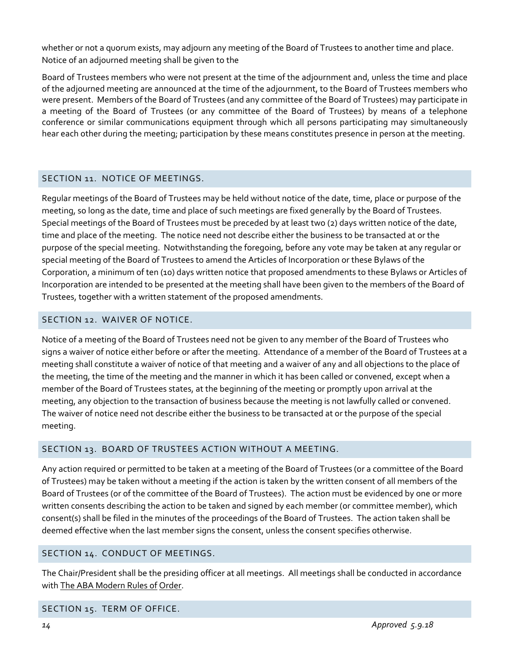whether or not a quorum exists, may adjourn any meeting of the Board of Trustees to another time and place. Notice of an adjourned meeting shall be given to the

Board of Trustees members who were not present at the time of the adjournment and, unless the time and place of the adjourned meeting are announced at the time of the adjournment, to the Board of Trustees members who were present. Members of the Board of Trustees (and any committee of the Board of Trustees) may participate in a meeting of the Board of Trustees (or any committee of the Board of Trustees) by means of a telephone conference or similar communications equipment through which all persons participating may simultaneously hear each other during the meeting; participation by these means constitutes presence in person at the meeting.

# SECTION 11. NOTICE OF MEETINGS.

Regular meetings of the Board of Trustees may be held without notice of the date, time, place or purpose of the meeting, so long as the date, time and place of such meetings are fixed generally by the Board of Trustees. Special meetings of the Board of Trustees must be preceded by at least two (2) days written notice of the date, time and place of the meeting. The notice need not describe either the business to be transacted at or the purpose of the special meeting. Notwithstanding the foregoing, before any vote may be taken at any regular or special meeting of the Board of Trustees to amend the Articles of Incorporation or these Bylaws of the Corporation, a minimum of ten (10) days written notice that proposed amendments to these Bylaws or Articles of Incorporation are intended to be presented at the meeting shall have been given to the members of the Board of Trustees, together with a written statement of the proposed amendments.

#### SECTION 12. WAIVER OF NOTICE.

Notice of a meeting of the Board of Trustees need not be given to any member of the Board of Trustees who signs a waiver of notice either before or after the meeting. Attendance of a member of the Board of Trustees at a meeting shall constitute a waiver of notice of that meeting and a waiver of any and all objections to the place of the meeting, the time of the meeting and the manner in which it has been called or convened, except when a member of the Board of Trustees states, at the beginning of the meeting or promptly upon arrival at the meeting, any objection to the transaction of business because the meeting is not lawfully called or convened. The waiver of notice need not describe either the business to be transacted at or the purpose of the special meeting.

## SECTION 13. BOARD OF TRUSTEES ACTION WITHOUT A MEETING.

Any action required or permitted to be taken at a meeting of the Board of Trustees (or a committee of the Board of Trustees) may be taken without a meeting if the action is taken by the written consent of all members of the Board of Trustees (or of the committee of the Board of Trustees). The action must be evidenced by one or more written consents describing the action to be taken and signed by each member (or committee member), which consent(s) shall be filed in the minutes of the proceedings of the Board of Trustees. The action taken shall be deemed effective when the last member signs the consent, unless the consent specifies otherwise.

#### SECTION 14. CONDUCT OF MEETINGS.

The Chair/President shall be the presiding officer at all meetings. All meetings shall be conducted in accordance with The ABA Modern Rules of Order.

SECTION 15. TERM OF OFFICE.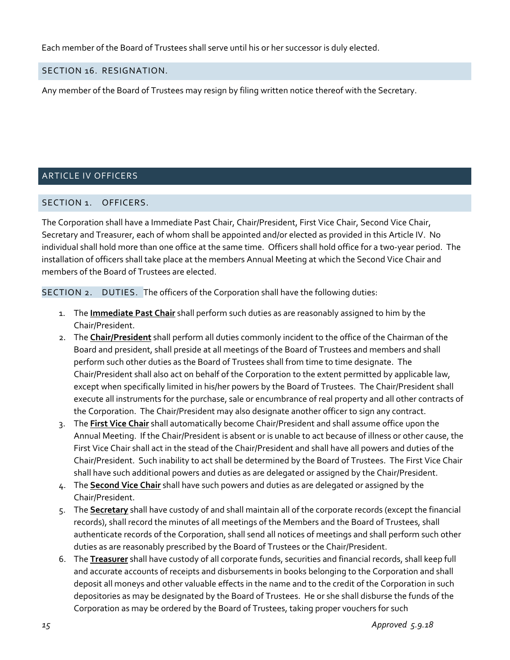Each member of the Board of Trustees shall serve until his or her successor is duly elected.

#### SECTION 16. RESIGNATION.

Any member of the Board of Trustees may resign by filing written notice thereof with the Secretary.

# ARTICLE IV OFFICERS

#### SECTION 1. OFFICERS.

The Corporation shall have a Immediate Past Chair, Chair/President, First Vice Chair, Second Vice Chair, Secretary and Treasurer, each of whom shall be appointed and/or elected as provided in this Article IV. No individual shall hold more than one office at the same time. Officers shall hold office for a two-year period. The installation of officers shall take place at the members Annual Meeting at which the Second Vice Chair and members of the Board of Trustees are elected.

SECTION 2. DUTIES. The officers of the Corporation shall have the following duties:

- 1. The **Immediate Past Chair** shall perform such duties as are reasonably assigned to him by the Chair/President.
- 2. The **Chair/President** shall perform all duties commonly incident to the office of the Chairman of the Board and president, shall preside at all meetings of the Board of Trustees and members and shall perform such other duties as the Board of Trustees shall from time to time designate. The Chair/President shall also act on behalf of the Corporation to the extent permitted by applicable law, except when specifically limited in his/her powers by the Board of Trustees. The Chair/President shall execute all instruments for the purchase, sale or encumbrance of real property and all other contracts of the Corporation. The Chair/President may also designate another officer to sign any contract.
- 3. The **First Vice Chair** shall automatically become Chair/President and shall assume office upon the Annual Meeting. If the Chair/President is absent or is unable to act because of illness or other cause, the First Vice Chair shall act in the stead of the Chair/President and shall have all powers and duties of the Chair/President. Such inability to act shall be determined by the Board of Trustees. The First Vice Chair shall have such additional powers and duties as are delegated or assigned by the Chair/President.
- 4. The **Second Vice Chair** shall have such powers and duties as are delegated or assigned by the Chair/President.
- 5. The **Secretary** shall have custody of and shall maintain all of the corporate records (except the financial records), shall record the minutes of all meetings of the Members and the Board of Trustees, shall authenticate records of the Corporation, shall send all notices of meetings and shall perform such other duties as are reasonably prescribed by the Board of Trustees or the Chair/President.
- 6. The **Treasurer** shall have custody of all corporate funds, securities and financial records, shall keep full and accurate accounts of receipts and disbursements in books belonging to the Corporation and shall deposit all moneys and other valuable effects in the name and to the credit of the Corporation in such depositories as may be designated by the Board of Trustees. He or she shall disburse the funds of the Corporation as may be ordered by the Board of Trustees, taking proper vouchers for such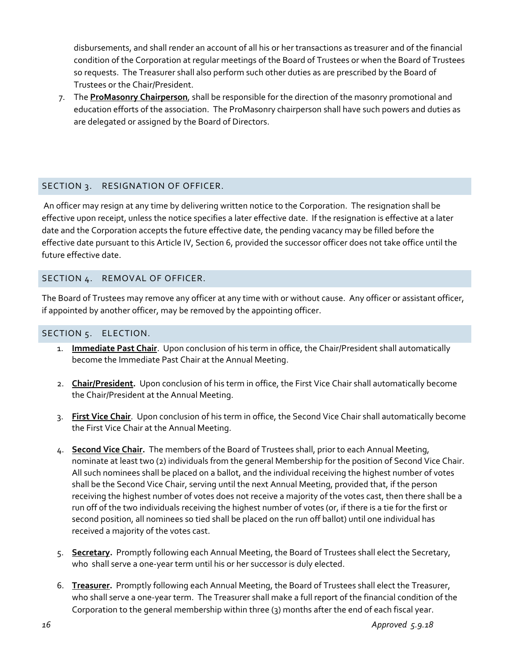disbursements, and shall render an account of all his or her transactions as treasurer and of the financial condition of the Corporation at regular meetings of the Board of Trustees or when the Board of Trustees so requests. The Treasurer shall also perform such other duties as are prescribed by the Board of Trustees or the Chair/President.

7. The **ProMasonry Chairperson**, shall be responsible for the direction of the masonry promotional and education efforts of the association. The ProMasonry chairperson shall have such powers and duties as are delegated or assigned by the Board of Directors.

# SECTION 3. RESIGNATION OF OFFICER.

An officer may resign at any time by delivering written notice to the Corporation. The resignation shall be effective upon receipt, unless the notice specifies a later effective date. If the resignation is effective at a later date and the Corporation accepts the future effective date, the pending vacancy may be filled before the effective date pursuant to this Article IV, Section 6, provided the successor officer does not take office until the future effective date.

## SECTION 4. REMOVAL OF OFFICER.

The Board of Trustees may remove any officer at any time with or without cause. Any officer or assistant officer, if appointed by another officer, may be removed by the appointing officer.

#### SECTION 5. ELECTION.

- 1. **Immediate Past Chair**. Upon conclusion of his term in office, the Chair/President shall automatically become the Immediate Past Chair at the Annual Meeting.
- 2. **Chair/President.** Upon conclusion of his term in office, the First Vice Chair shall automatically become the Chair/President at the Annual Meeting.
- 3. **First Vice Chair**. Upon conclusion of his term in office, the Second Vice Chair shall automatically become the First Vice Chair at the Annual Meeting.
- 4. **Second Vice Chair.** The members of the Board of Trustees shall, prior to each Annual Meeting, nominate at least two (2) individuals from the general Membership for the position of Second Vice Chair. All such nominees shall be placed on a ballot, and the individual receiving the highest number of votes shall be the Second Vice Chair, serving until the next Annual Meeting, provided that, if the person receiving the highest number of votes does not receive a majority of the votes cast, then there shall be a run off of the two individuals receiving the highest number of votes (or, if there is a tie for the first or second position, all nominees so tied shall be placed on the run off ballot) until one individual has received a majority of the votes cast.
- 5. **Secretary.** Promptly following each Annual Meeting, the Board of Trustees shall elect the Secretary, who shall serve a one‐year term until his or her successor is duly elected.
- 6. **Treasurer.** Promptly following each Annual Meeting, the Board of Trustees shall elect the Treasurer, who shall serve a one‐year term. The Treasurer shall make a full report of the financial condition of the Corporation to the general membership within three (3) months after the end of each fiscal year.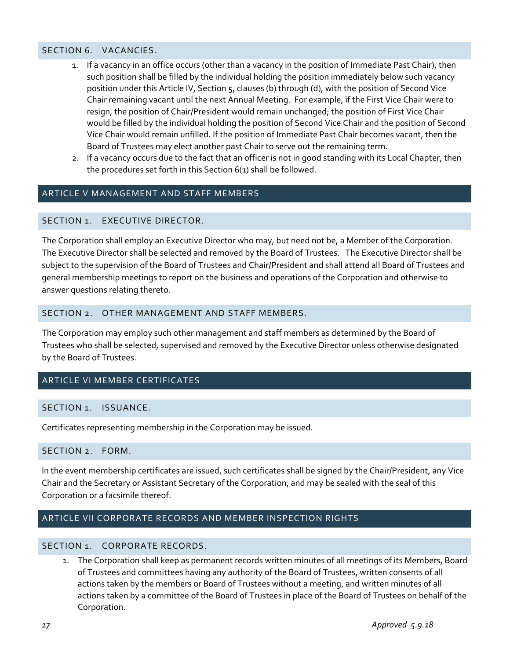#### SECTION 6. VACANCIES.

- 1. If a vacancy in an office occurs (other than a vacancy in the position of Immediate Past Chair), then such position shall be filled by the individual holding the position immediately below such vacancy position under this Article IV, Section 5, clauses (b) through (d), with the position of Second Vice Chair remaining vacant until the next Annual Meeting. For example, if the First Vice Chair were to resign, the position of Chair/President would remain unchanged; the position of First Vice Chair would be filled by the individual holding the position of Second Vice Chair and the position of Second Vice Chair would remain unfilled. If the position of Immediate Past Chair becomes vacant, then the Board of Trustees may elect another past Chair to serve out the remaining term.
- 2. If a vacancy occurs due to the fact that an officer is not in good standing with its Local Chapter, then the procedures set forth in this Section 6(1) shall be followed.

# ARTICLE V MANAGEMENT AND STAFF MEMBERS

#### SECTION 1. EXECUTIVE DIRECTOR.

The Corporation shall employ an Executive Director who may, but need not be, a Member of the Corporation. The Executive Director shall be selected and removed by the Board of Trustees. The Executive Director shall be subject to the supervision of the Board of Trustees and Chair/President and shall attend all Board of Trustees and general membership meetings to report on the business and operations of the Corporation and otherwise to answer questions relating thereto.

#### SECTION 2. OTHER MANAGEMENT AND STAFF MEMBERS.

The Corporation may employ such other management and staff members as determined by the Board of Trustees who shall be selected, supervised and removed by the Executive Director unless otherwise designated by the Board of Trustees.

# ARTICLE VI MEMBER CERTIFICATES

#### SECTION 1. ISSUANCE.

Certificates representing membership in the Corporation may be issued.

#### SECTION 2. FORM.

In the event membership certificates are issued, such certificates shall be signed by the Chair/President, any Vice Chair and the Secretary or Assistant Secretary of the Corporation, and may be sealed with the seal of this Corporation or a facsimile thereof.

# ARTICLE VII CORPORATE RECORDS AND MEMBER INSPECTION RIGHTS

#### SECTION 1. CORPORATE RECORDS.

1. The Corporation shall keep as permanent records written minutes of all meetings of its Members, Board of Trustees and committees having any authority of the Board of Trustees, written consents of all actions taken by the members or Board of Trustees without a meeting, and written minutes of all actions taken by a committee of the Board of Trustees in place of the Board of Trustees on behalf of the Corporation.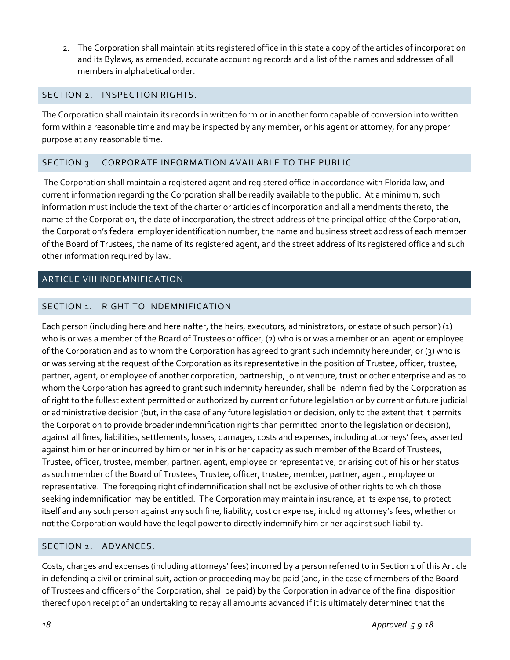2. The Corporation shall maintain at its registered office in this state a copy of the articles of incorporation and its Bylaws, as amended, accurate accounting records and a list of the names and addresses of all members in alphabetical order.

# SECTION 2. INSPECTION RIGHTS.

The Corporation shall maintain its records in written form or in another form capable of conversion into written form within a reasonable time and may be inspected by any member, or his agent or attorney, for any proper purpose at any reasonable time.

#### SECTION 3. CORPORATE INFORMATION AVAILABLE TO THE PUBLIC.

The Corporation shall maintain a registered agent and registered office in accordance with Florida law, and current information regarding the Corporation shall be readily available to the public. At a minimum, such information must include the text of the charter or articles of incorporation and all amendments thereto, the name of the Corporation, the date of incorporation, the street address of the principal office of the Corporation, the Corporation's federal employer identification number, the name and business street address of each member of the Board of Trustees, the name of its registered agent, and the street address of its registered office and such other information required by law.

# ARTICLE VIII INDEMNIFICATION

## SECTION 1. RIGHT TO INDEMNIFICATION.

Each person (including here and hereinafter, the heirs, executors, administrators, or estate of such person) (1) who is or was a member of the Board of Trustees or officer, (2) who is or was a member or an agent or employee of the Corporation and as to whom the Corporation has agreed to grant such indemnity hereunder, or (3) who is or was serving at the request of the Corporation as its representative in the position of Trustee, officer, trustee, partner, agent, or employee of another corporation, partnership, joint venture, trust or other enterprise and as to whom the Corporation has agreed to grant such indemnity hereunder, shall be indemnified by the Corporation as of right to the fullest extent permitted or authorized by current or future legislation or by current or future judicial or administrative decision (but, in the case of any future legislation or decision, only to the extent that it permits the Corporation to provide broader indemnification rights than permitted prior to the legislation or decision), against all fines, liabilities, settlements, losses, damages, costs and expenses, including attorneys' fees, asserted against him or her or incurred by him or her in his or her capacity as such member of the Board of Trustees, Trustee, officer, trustee, member, partner, agent, employee or representative, or arising out of his or her status as such member of the Board of Trustees, Trustee, officer, trustee, member, partner, agent, employee or representative. The foregoing right of indemnification shall not be exclusive of other rights to which those seeking indemnification may be entitled. The Corporation may maintain insurance, at its expense, to protect itself and any such person against any such fine, liability, cost or expense, including attorney's fees, whether or not the Corporation would have the legal power to directly indemnify him or her against such liability.

#### SECTION 2. ADVANCES.

Costs, charges and expenses (including attorneys' fees) incurred by a person referred to in Section 1 of this Article in defending a civil or criminal suit, action or proceeding may be paid (and, in the case of members of the Board of Trustees and officers of the Corporation, shall be paid) by the Corporation in advance of the final disposition thereof upon receipt of an undertaking to repay all amounts advanced if it is ultimately determined that the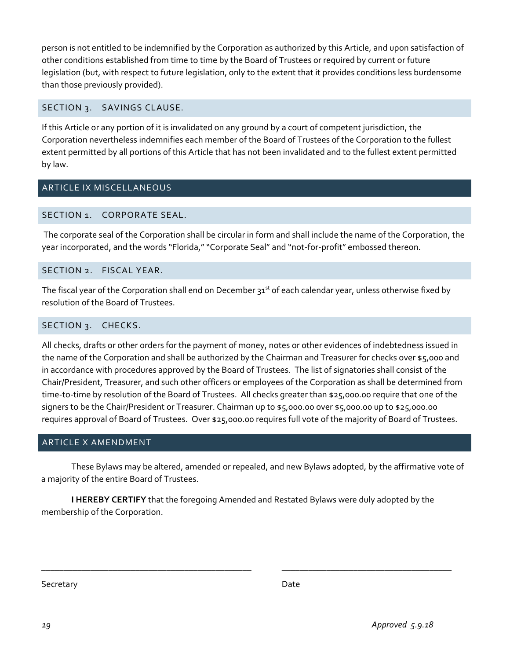person is not entitled to be indemnified by the Corporation as authorized by this Article, and upon satisfaction of other conditions established from time to time by the Board of Trustees or required by current or future legislation (but, with respect to future legislation, only to the extent that it provides conditions less burdensome than those previously provided).

# SECTION 3. SAVINGS CLAUSE.

If this Article or any portion of it is invalidated on any ground by a court of competent jurisdiction, the Corporation nevertheless indemnifies each member of the Board of Trustees of the Corporation to the fullest extent permitted by all portions of this Article that has not been invalidated and to the fullest extent permitted by law.

# ARTICLE IX MISCELLANEOUS

# SECTION 1. CORPORATE SEAL.

The corporate seal of the Corporation shall be circular in form and shall include the name of the Corporation, the year incorporated, and the words "Florida," "Corporate Seal" and "not-for-profit" embossed thereon.

## SECTION 2. FISCAL YEAR.

The fiscal year of the Corporation shall end on December  $31<sup>st</sup>$  of each calendar year, unless otherwise fixed by resolution of the Board of Trustees.

#### SECTION 3. CHECKS.

All checks, drafts or other orders for the payment of money, notes or other evidences of indebtedness issued in the name of the Corporation and shall be authorized by the Chairman and Treasurer for checks over \$5,000 and in accordance with procedures approved by the Board of Trustees. The list of signatories shall consist of the Chair/President, Treasurer, and such other officers or employees of the Corporation as shall be determined from time-to-time by resolution of the Board of Trustees. All checks greater than \$25,000.00 require that one of the signers to be the Chair/President or Treasurer. Chairman up to \$5,000.00 over \$5,000.00 up to \$25,000.00 requires approval of Board of Trustees. Over \$25,000.00 requires full vote of the majority of Board of Trustees.

#### ARTICLE X AMENDMENT

These Bylaws may be altered, amended or repealed, and new Bylaws adopted, by the affirmative vote of a majority of the entire Board of Trustees.

**I HEREBY CERTIFY** that the foregoing Amended and Restated Bylaws were duly adopted by the membership of the Corporation.

\_\_\_\_\_\_\_\_\_\_\_\_\_\_\_\_\_\_\_\_\_\_\_\_\_\_\_\_\_\_\_\_\_\_\_\_\_\_\_\_\_\_\_\_\_\_\_ \_\_\_\_\_\_\_\_\_\_\_\_\_\_\_\_\_\_\_\_\_\_\_\_\_\_\_\_\_\_\_\_\_\_\_\_\_\_

Secretary **Date**